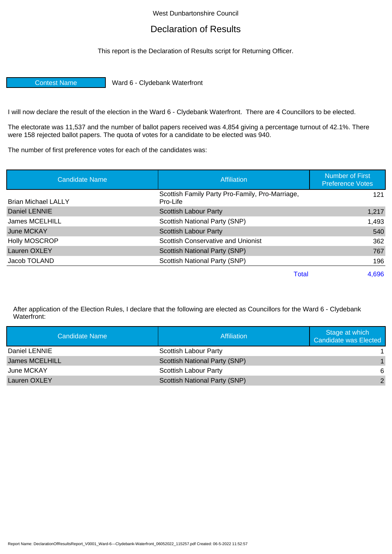## West Dunbartonshire Council

## Declaration of Results

This report is the Declaration of Results script for Returning Officer.

Contest Name Ward 6 - Clydebank Waterfront

I will now declare the result of the election in the Ward 6 - Clydebank Waterfront. There are 4 Councillors to be elected.

The electorate was 11,537 and the number of ballot papers received was 4,854 giving a percentage turnout of 42.1%. There were 158 rejected ballot papers. The quota of votes for a candidate to be elected was 940.

The number of first preference votes for each of the candidates was:

| <b>Candidate Name</b>      | <b>Affiliation</b>                                          | <b>Number of First</b><br><b>Preference Votes</b> |
|----------------------------|-------------------------------------------------------------|---------------------------------------------------|
| <b>Brian Michael LALLY</b> | Scottish Family Party Pro-Family, Pro-Marriage,<br>Pro-Life | 121                                               |
| Daniel LENNIE              | <b>Scottish Labour Party</b>                                | 1,217                                             |
| James MCELHILL             | Scottish National Party (SNP)                               | 1,493                                             |
| June MCKAY                 | <b>Scottish Labour Party</b>                                | 540                                               |
| <b>Holly MOSCROP</b>       | Scottish Conservative and Unionist                          | 362                                               |
| Lauren OXLEY               | Scottish National Party (SNP)                               | 767                                               |
| Jacob TOLAND               | Scottish National Party (SNP)                               | 196                                               |
|                            | <b>Total</b>                                                | 4,696                                             |

After application of the Election Rules, I declare that the following are elected as Councillors for the Ward 6 - Clydebank Waterfront:

| Candidate Name | Affiliation                   | Stage at which<br><b>Candidate was Elected</b> |
|----------------|-------------------------------|------------------------------------------------|
| Daniel LENNIE  | Scottish Labour Party         |                                                |
| James MCELHILL | Scottish National Party (SNP) |                                                |
| June MCKAY     | <b>Scottish Labour Party</b>  | 6                                              |
| Lauren OXLEY   | Scottish National Party (SNP) | $\mathcal{P}$                                  |